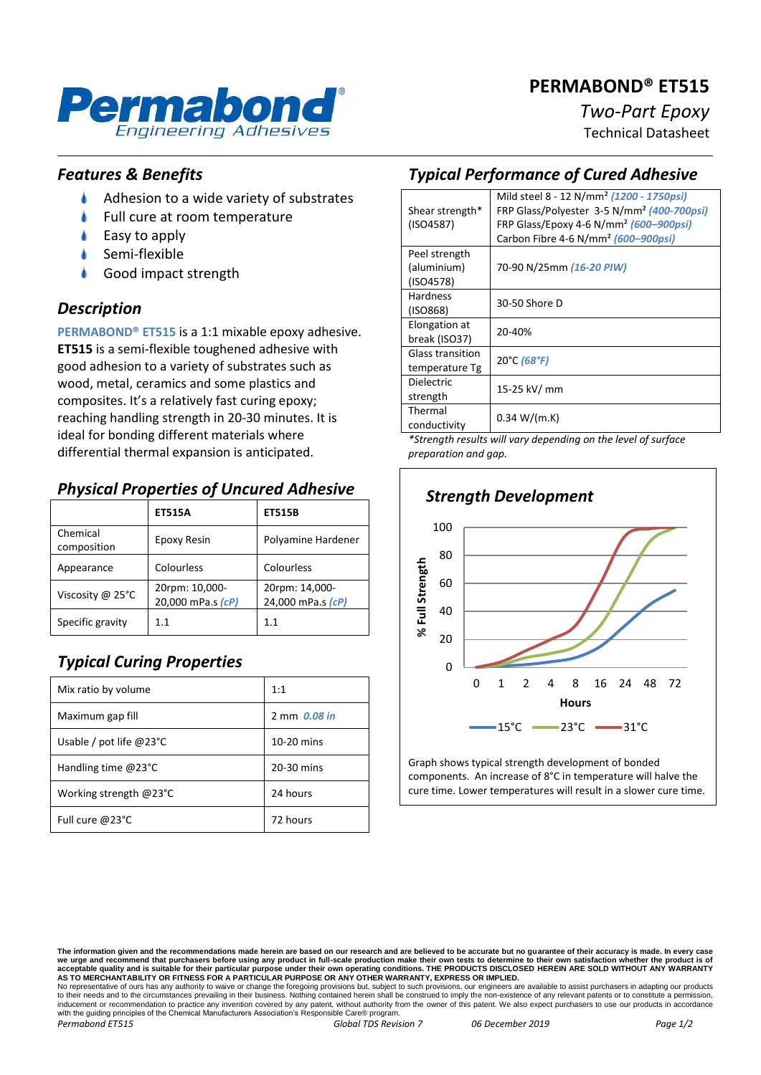# **PERMABOND® ET515**



# *Two-Part Epoxy*

Technical Datasheet

### *Features & Benefits*

- ۸ Adhesion to a wide variety of substrates
- Full cure at room temperature
- Easy to apply
- Semi-flexible
- Good impact strength

#### *Description*

**PERMABOND® ET515** is a 1:1 mixable epoxy adhesive. **ET515** is a semi-flexible toughened adhesive with good adhesion to a variety of substrates such as wood, metal, ceramics and some plastics and composites. It's a relatively fast curing epoxy; reaching handling strength in 20-30 minutes. It is ideal for bonding different materials where differential thermal expansion is anticipated.

# *Physical Properties of Uncured Adhesive*

|                         | <b>ET515A</b>                       | <b>ET515B</b>                       |
|-------------------------|-------------------------------------|-------------------------------------|
| Chemical<br>composition | Epoxy Resin                         | Polyamine Hardener                  |
| Appearance              | Colourless                          | Colourless                          |
| Viscosity @ 25°C        | 20rpm: 10,000-<br>20,000 mPa.s (cP) | 20rpm: 14,000-<br>24,000 mPa.s (cP) |
| Specific gravity        | 1.1                                 | 1.1                                 |

# *Typical Curing Properties*

| Mix ratio by volume               | 1:1          |
|-----------------------------------|--------------|
| Maximum gap fill                  | 2 mm 0.08 in |
| Usable / pot life $@23^{\circ}$ C | 10-20 mins   |
| Handling time $@23°C$             | 20-30 mins   |
| Working strength @23°C            | 24 hours     |
| Full cure @23°C                   | 72 hours     |

# *Typical Performance of Cured Adhesive*

| Shear strength*                           | Mild steel 8 - 12 N/mm <sup>2</sup> (1200 - 1750psi)<br>FRP Glass/Polyester 3-5 N/mm <sup>2</sup> (400-700psi) |  |
|-------------------------------------------|----------------------------------------------------------------------------------------------------------------|--|
| (ISO4587)                                 | FRP Glass/Epoxy 4-6 N/mm <sup>2</sup> (600–900psi)<br>Carbon Fibre 4-6 N/mm <sup>2</sup> (600-900psi)          |  |
|                                           |                                                                                                                |  |
| Peel strength<br>(aluminium)<br>(ISO4578) | 70-90 N/25mm (16-20 PIW)                                                                                       |  |
| <b>Hardness</b><br>(ISO868)               | 30-50 Shore D                                                                                                  |  |
| Elongation at<br>break (ISO37)            | 20-40%                                                                                                         |  |
| <b>Glass transition</b><br>temperature Tg | 20°C (68°F)                                                                                                    |  |
| <b>Dielectric</b><br>strength             | 15-25 kV/ mm                                                                                                   |  |
| Thermal<br>conductivity                   | 0.34 W/(m.K)                                                                                                   |  |

*\*Strength results will vary depending on the level of surface preparation and gap.*



Graph shows typical strength development of bonded components. An increase of 8°C in temperature will halve the cure time. Lower temperatures will result in a slower cure time.

No representative of ours has any authority to waive or change the foregoing provisions but, subject to such provisions, our engineers are available to assist purchasers in adapting our products<br>to their needs and to the c with the guiding principles of the Chemical Manufacturers Association's Responsible Care® program *Permabond ET515 Global TDS Revision 7 06 December 2019 Page 1/2*

The information given and the recommendations made herein are based on our research and are believed to be accurate but no guarantee of their accuracy is made. In every case<br>we urge and recommend that purchasers before usi